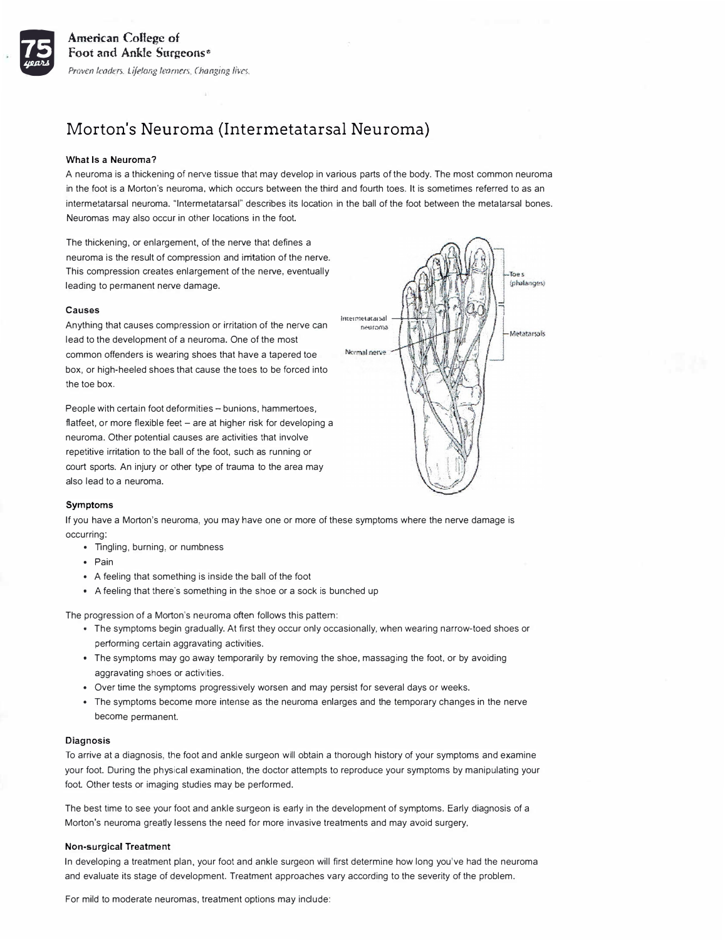

# Morton's Neuroma (Intermetatarsal Neuroma)

## **What Is a Neurorna?**

A neuroma is a thickening of nerve tissue that may develop in various parts of the body. The most common neuroma in the foot is a Morton's neuroma, which occurs between the third and fourth toes. It is sometimes referred to as an intermetatarsal neuroma. "lntermetatarsal" describes its location in the ball of the foot between the metatarsal bones. Neuromas may also occur in other locations in the foot.

The thickening, or enlargement, of the nerve that defines a neuroma is the result of compression and irritation of the nerve. This compression creates enlargement of the nerve, eventually leading to permanent nerve damage.

## **Causes**

Anything that causes compression or irritation of the nerve can lead to the development of a neuroma. One of the most common offenders is wearing shoes that have a tapered toe box, or high-heeled shoes that cause the toes to be forced into the toe box.

People with certain foot deformities - bunions, hammertoes, flatfeet, or more flexible feet - are at higher risk for developing a neuroma. Other potential causes are activities that involve repetitive irritation to the ball of the foot, such as running or court sports. An injury or other type of trauma to the area may also lead to a neuroma.



### **Symptoms**

If you have a Morton's neuroma, you may have one or more of these symptoms where the nerve damage is occurring:

- Tingling, burning, or numbness
- Pain
- A feeling that something is inside the ball of the foot
- A feeling that there's something in the shoe or a sock is bunched up

The progression of a Morton's neuroma often follows this pattern:

- The symptoms begin gradually. At first they occur only occasionally, when wearing narrow-toed shoes or performing certain aggravating activities.
- The symptoms may go away temporarily by removing the shoe, massaging the foot, or by avoiding aggravating shoes or activities.
- Over time the symptoms progressively worsen and may persist for several days or weeks.
- The symptoms become more intense as the neuroma enlarges and the temporary changes in the nerve become permanent.

#### **Diagnosis**

To arrive at a diagnosis, the foot and ankle surgeon will obtain a thorough history of your symptoms and examine your foot. During the physical examination, the doctor attempts to reproduce your symptoms by manipulating your foot. Other tests or imaging studies may be performed.

The best time to see your foot and ankle surgeon is early in the development of symptoms. Early diagnosis of a Morton's neuroma greatly lessens the need for more invasive treatments and may avoid surgery.

## **Non-surgical Treatment**

In developing a treatment plan, your foot and ankle surgeon will first determine how long you've had the neuroma and evaluate its stage of development. Treatment approaches vary according to the severity of the problem.

For mild to moderate neuromas, treatment options may include: